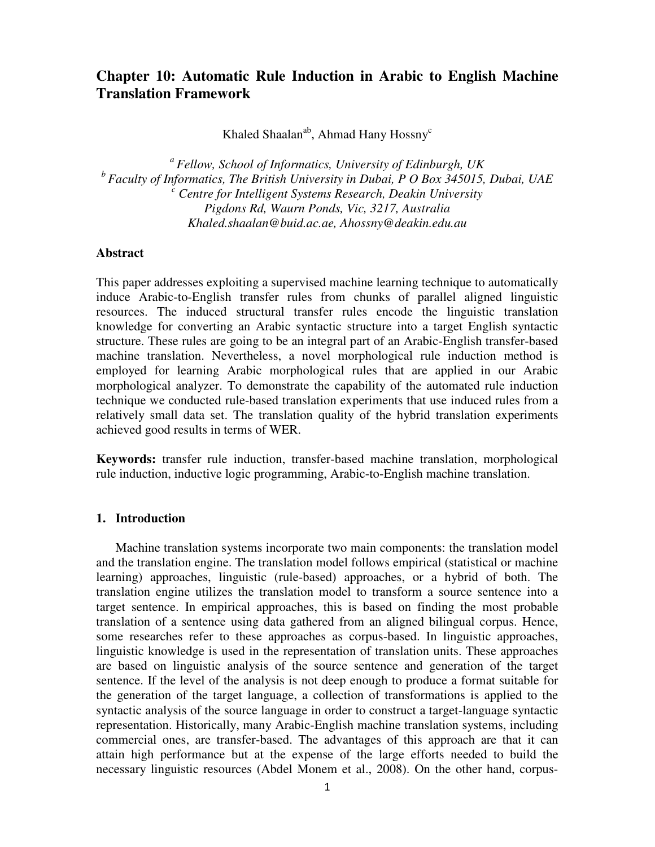# **Chapter 10: Automatic Rule Induction in Arabic to English Machine Translation Framework**

Khaled Shaalan<sup>ab</sup>, Ahmad Hany Hossny<sup>c</sup>

*<sup>a</sup>Fellow, School of Informatics, University of Edinburgh, UK <sup>b</sup>Faculty of Informatics, The British University in Dubai, P O Box 345015, Dubai, UAE <sup>c</sup> Centre for Intelligent Systems Research, Deakin University Pigdons Rd, Waurn Ponds, Vic, 3217, Australia Khaled.shaalan@buid.ac.ae, Ahossny@deakin.edu.au* 

### **Abstract**

This paper addresses exploiting a supervised machine learning technique to automatically induce Arabic-to-English transfer rules from chunks of parallel aligned linguistic resources. The induced structural transfer rules encode the linguistic translation knowledge for converting an Arabic syntactic structure into a target English syntactic structure. These rules are going to be an integral part of an Arabic-English transfer-based machine translation. Nevertheless, a novel morphological rule induction method is employed for learning Arabic morphological rules that are applied in our Arabic morphological analyzer. To demonstrate the capability of the automated rule induction technique we conducted rule-based translation experiments that use induced rules from a relatively small data set. The translation quality of the hybrid translation experiments achieved good results in terms of WER.

**Keywords:** transfer rule induction, transfer-based machine translation, morphological rule induction, inductive logic programming, Arabic-to-English machine translation.

### **1. Introduction**

Machine translation systems incorporate two main components: the translation model and the translation engine. The translation model follows empirical (statistical or machine learning) approaches, linguistic (rule-based) approaches, or a hybrid of both. The translation engine utilizes the translation model to transform a source sentence into a target sentence. In empirical approaches, this is based on finding the most probable translation of a sentence using data gathered from an aligned bilingual corpus. Hence, some researches refer to these approaches as corpus-based. In linguistic approaches, linguistic knowledge is used in the representation of translation units. These approaches are based on linguistic analysis of the source sentence and generation of the target sentence. If the level of the analysis is not deep enough to produce a format suitable for the generation of the target language, a collection of transformations is applied to the syntactic analysis of the source language in order to construct a target-language syntactic representation. Historically, many Arabic-English machine translation systems, including commercial ones, are transfer-based. The advantages of this approach are that it can attain high performance but at the expense of the large efforts needed to build the necessary linguistic resources (Abdel Monem et al., 2008). On the other hand, corpus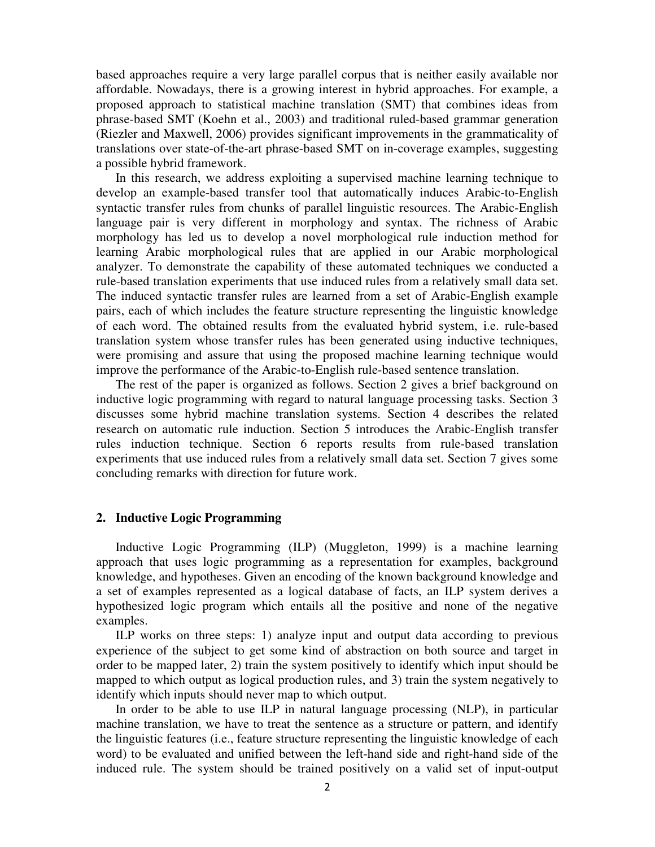based approaches require a very large parallel corpus that is neither easily available nor affordable. Nowadays, there is a growing interest in hybrid approaches. For example, a proposed approach to statistical machine translation (SMT) that combines ideas from phrase-based SMT (Koehn et al., 2003) and traditional ruled-based grammar generation (Riezler and Maxwell, 2006) provides significant improvements in the grammaticality of translations over state-of-the-art phrase-based SMT on in-coverage examples, suggesting a possible hybrid framework.

In this research, we address exploiting a supervised machine learning technique to develop an example-based transfer tool that automatically induces Arabic-to-English syntactic transfer rules from chunks of parallel linguistic resources. The Arabic-English language pair is very different in morphology and syntax. The richness of Arabic morphology has led us to develop a novel morphological rule induction method for learning Arabic morphological rules that are applied in our Arabic morphological analyzer. To demonstrate the capability of these automated techniques we conducted a rule-based translation experiments that use induced rules from a relatively small data set. The induced syntactic transfer rules are learned from a set of Arabic-English example pairs, each of which includes the feature structure representing the linguistic knowledge of each word. The obtained results from the evaluated hybrid system, i.e. rule-based translation system whose transfer rules has been generated using inductive techniques, were promising and assure that using the proposed machine learning technique would improve the performance of the Arabic-to-English rule-based sentence translation.

The rest of the paper is organized as follows. Section 2 gives a brief background on inductive logic programming with regard to natural language processing tasks. Section 3 discusses some hybrid machine translation systems. Section 4 describes the related research on automatic rule induction. Section 5 introduces the Arabic-English transfer rules induction technique. Section 6 reports results from rule-based translation experiments that use induced rules from a relatively small data set. Section 7 gives some concluding remarks with direction for future work.

### **2. Inductive Logic Programming**

Inductive Logic Programming (ILP) (Muggleton, 1999) is a machine learning approach that uses logic programming as a representation for examples, background knowledge, and hypotheses. Given an encoding of the known background knowledge and a set of examples represented as a logical database of facts, an ILP system derives a hypothesized logic program which entails all the positive and none of the negative examples.

ILP works on three steps: 1) analyze input and output data according to previous experience of the subject to get some kind of abstraction on both source and target in order to be mapped later, 2) train the system positively to identify which input should be mapped to which output as logical production rules, and 3) train the system negatively to identify which inputs should never map to which output.

In order to be able to use ILP in natural language processing (NLP), in particular machine translation, we have to treat the sentence as a structure or pattern, and identify the linguistic features (i.e., feature structure representing the linguistic knowledge of each word) to be evaluated and unified between the left-hand side and right-hand side of the induced rule. The system should be trained positively on a valid set of input-output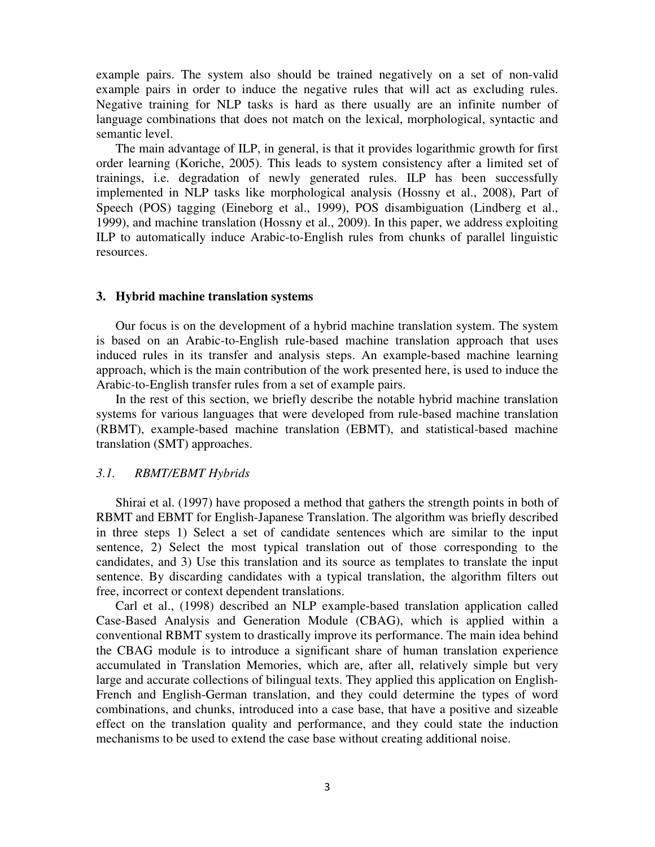example pairs. The system also should be trained negatively on a set of non-valid example pairs in order to induce the negative rules that will act as excluding rules. Negative training for NLP tasks is hard as there usually are an infinite number of language combinations that does not match on the lexical, morphological, syntactic and semantic level.

The main advantage of ILP, in general, is that it provides logarithmic growth for first order learning (Koriche, 2005). This leads to system consistency after a limited set of trainings, i.e. degradation of newly generated rules. ILP has been successfully implemented in NLP tasks like morphological analysis (Hossny et al., 2008), Part of Speech (POS) tagging (Eineborg et al., 1999), POS disambiguation (Lindberg et al., 1999), and machine translation (Hossny et al., 2009). In this paper, we address exploiting ILP to automatically induce Arabic-to-English rules from chunks of parallel linguistic resources.

#### **3. Hybrid machine translation systems**

Our focus is on the development of a hybrid machine translation system. The system is based on an Arabic-to-English rule-based machine translation approach that uses induced rules in its transfer and analysis steps. An example-based machine learning approach, which is the main contribution of the work presented here, is used to induce the Arabic-to-English transfer rules from a set of example pairs.

In the rest of this section, we briefly describe the notable hybrid machine translation systems for various languages that were developed from rule-based machine translation (RBMT), example-based machine translation (EBMT), and statistical-based machine translation (SMT) approaches.

### *3.1. RBMT/EBMT Hybrids*

Shirai et al. (1997) have proposed a method that gathers the strength points in both of RBMT and EBMT for English-Japanese Translation. The algorithm was briefly described in three steps 1) Select a set of candidate sentences which are similar to the input sentence, 2) Select the most typical translation out of those corresponding to the candidates, and 3) Use this translation and its source as templates to translate the input sentence. By discarding candidates with a typical translation, the algorithm filters out free, incorrect or context dependent translations.

Carl et al., (1998) described an NLP example-based translation application called Case-Based Analysis and Generation Module (CBAG), which is applied within a conventional RBMT system to drastically improve its performance. The main idea behind the CBAG module is to introduce a significant share of human translation experience accumulated in Translation Memories, which are, after all, relatively simple but very large and accurate collections of bilingual texts. They applied this application on English-French and English-German translation, and they could determine the types of word combinations, and chunks, introduced into a case base, that have a positive and sizeable effect on the translation quality and performance, and they could state the induction mechanisms to be used to extend the case base without creating additional noise.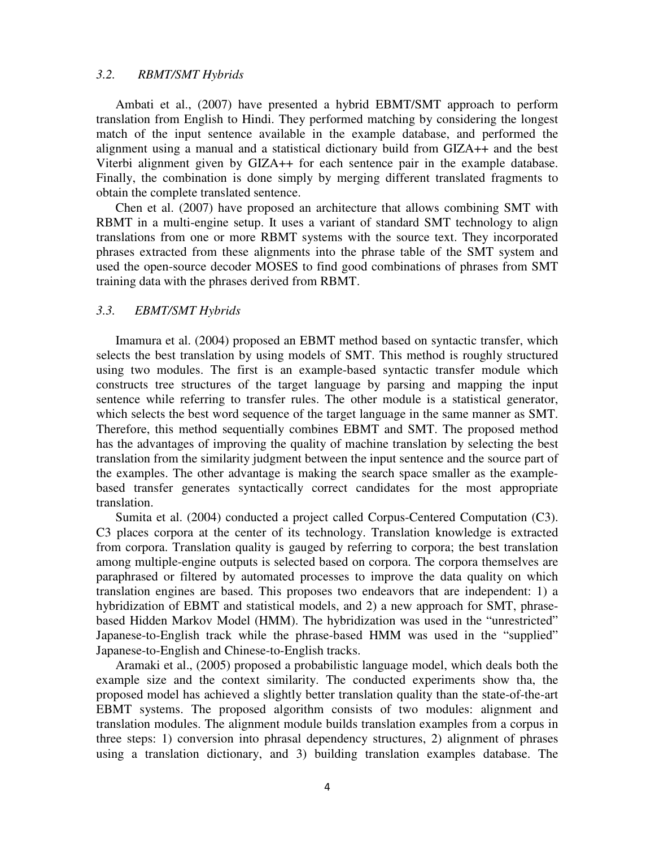### *3.2. RBMT/SMT Hybrids*

Ambati et al., (2007) have presented a hybrid EBMT/SMT approach to perform translation from English to Hindi. They performed matching by considering the longest match of the input sentence available in the example database, and performed the alignment using a manual and a statistical dictionary build from GIZA++ and the best Viterbi alignment given by GIZA++ for each sentence pair in the example database. Finally, the combination is done simply by merging different translated fragments to obtain the complete translated sentence.

Chen et al. (2007) have proposed an architecture that allows combining SMT with RBMT in a multi-engine setup. It uses a variant of standard SMT technology to align translations from one or more RBMT systems with the source text. They incorporated phrases extracted from these alignments into the phrase table of the SMT system and used the open-source decoder MOSES to find good combinations of phrases from SMT training data with the phrases derived from RBMT.

### *3.3. EBMT/SMT Hybrids*

Imamura et al. (2004) proposed an EBMT method based on syntactic transfer, which selects the best translation by using models of SMT. This method is roughly structured using two modules. The first is an example-based syntactic transfer module which constructs tree structures of the target language by parsing and mapping the input sentence while referring to transfer rules. The other module is a statistical generator, which selects the best word sequence of the target language in the same manner as SMT. Therefore, this method sequentially combines EBMT and SMT. The proposed method has the advantages of improving the quality of machine translation by selecting the best translation from the similarity judgment between the input sentence and the source part of the examples. The other advantage is making the search space smaller as the examplebased transfer generates syntactically correct candidates for the most appropriate translation.

Sumita et al. (2004) conducted a project called Corpus-Centered Computation (C3). C3 places corpora at the center of its technology. Translation knowledge is extracted from corpora. Translation quality is gauged by referring to corpora; the best translation among multiple-engine outputs is selected based on corpora. The corpora themselves are paraphrased or filtered by automated processes to improve the data quality on which translation engines are based. This proposes two endeavors that are independent: 1) a hybridization of EBMT and statistical models, and 2) a new approach for SMT, phrasebased Hidden Markov Model (HMM). The hybridization was used in the "unrestricted" Japanese-to-English track while the phrase-based HMM was used in the "supplied" Japanese-to-English and Chinese-to-English tracks.

Aramaki et al., (2005) proposed a probabilistic language model, which deals both the example size and the context similarity. The conducted experiments show tha, the proposed model has achieved a slightly better translation quality than the state-of-the-art EBMT systems. The proposed algorithm consists of two modules: alignment and translation modules. The alignment module builds translation examples from a corpus in three steps: 1) conversion into phrasal dependency structures, 2) alignment of phrases using a translation dictionary, and 3) building translation examples database. The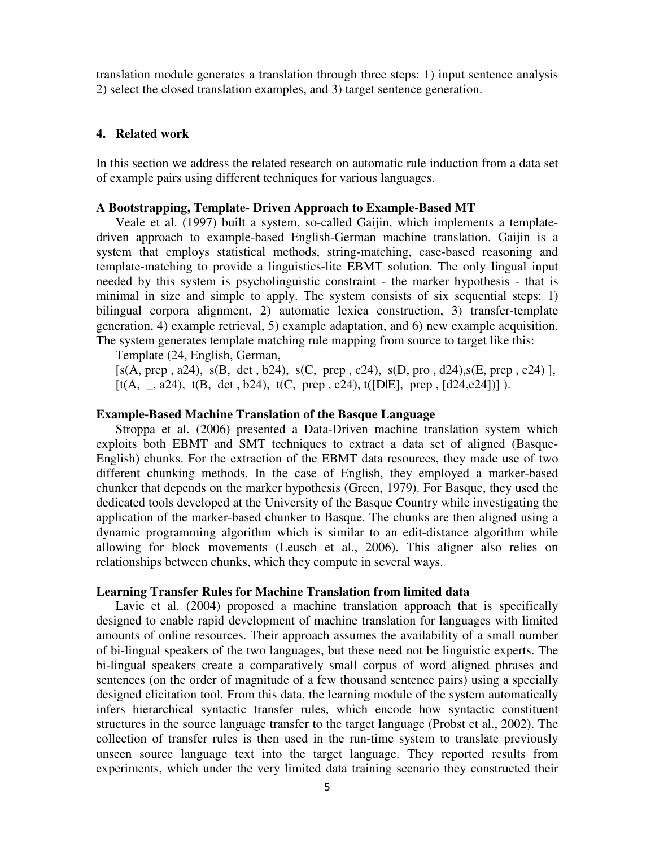translation module generates a translation through three steps: 1) input sentence analysis 2) select the closed translation examples, and 3) target sentence generation.

### **4. Related work**

In this section we address the related research on automatic rule induction from a data set of example pairs using different techniques for various languages.

#### **A Bootstrapping, Template- Driven Approach to Example-Based MT**

Veale et al. (1997) built a system, so-called Gaijin, which implements a templatedriven approach to example-based English-German machine translation. Gaijin is a system that employs statistical methods, string-matching, case-based reasoning and template-matching to provide a linguistics-lite EBMT solution. The only lingual input needed by this system is psycholinguistic constraint - the marker hypothesis - that is minimal in size and simple to apply. The system consists of six sequential steps: 1) bilingual corpora alignment, 2) automatic lexica construction, 3) transfer-template generation, 4) example retrieval, 5) example adaptation, and 6) new example acquisition. The system generates template matching rule mapping from source to target like this:

Template (24, English, German,

[s(A, prep, a24), s(B, det, b24), s(C, prep, c24), s(D, pro, d24), s(E, prep, e24) ], [t(A, \_, a24), t(B, det, b24), t(C, prep, c24), t([D|E], prep,  $[d24,e24]]$ ].

### **Example-Based Machine Translation of the Basque Language**

Stroppa et al. (2006) presented a Data-Driven machine translation system which exploits both EBMT and SMT techniques to extract a data set of aligned (Basque-English) chunks. For the extraction of the EBMT data resources, they made use of two different chunking methods. In the case of English, they employed a marker-based chunker that depends on the marker hypothesis (Green, 1979). For Basque, they used the dedicated tools developed at the University of the Basque Country while investigating the application of the marker-based chunker to Basque. The chunks are then aligned using a dynamic programming algorithm which is similar to an edit-distance algorithm while allowing for block movements (Leusch et al., 2006). This aligner also relies on relationships between chunks, which they compute in several ways.

#### **Learning Transfer Rules for Machine Translation from limited data**

Lavie et al. (2004) proposed a machine translation approach that is specifically designed to enable rapid development of machine translation for languages with limited amounts of online resources. Their approach assumes the availability of a small number of bi-lingual speakers of the two languages, but these need not be linguistic experts. The bi-lingual speakers create a comparatively small corpus of word aligned phrases and sentences (on the order of magnitude of a few thousand sentence pairs) using a specially designed elicitation tool. From this data, the learning module of the system automatically infers hierarchical syntactic transfer rules, which encode how syntactic constituent structures in the source language transfer to the target language (Probst et al., 2002). The collection of transfer rules is then used in the run-time system to translate previously unseen source language text into the target language. They reported results from experiments, which under the very limited data training scenario they constructed their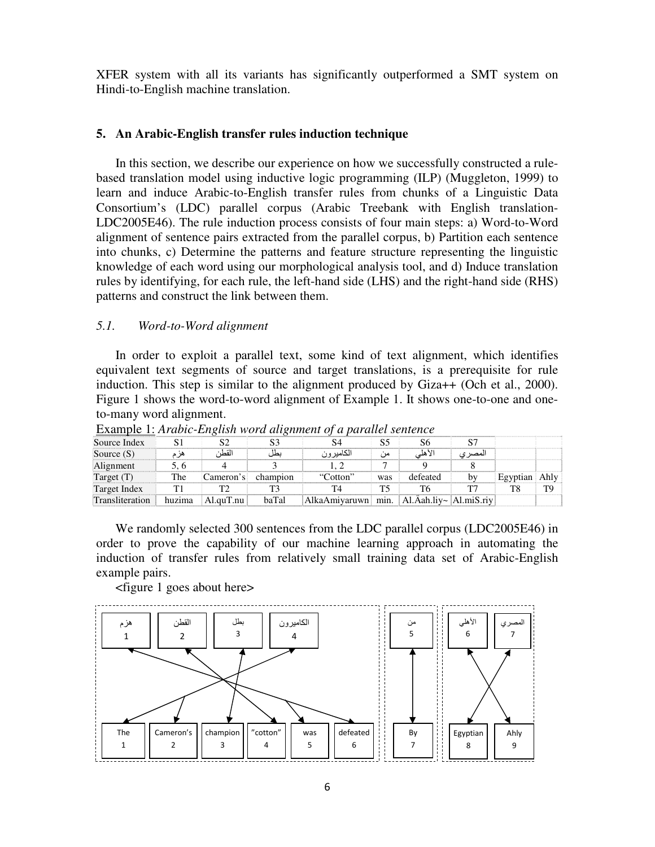XFER system with all its variants has significantly outperformed a SMT system on Hindi-to-English machine translation.

### **5. An Arabic-English transfer rules induction technique**

In this section, we describe our experience on how we successfully constructed a rulebased translation model using inductive logic programming (ILP) (Muggleton, 1999) to learn and induce Arabic-to-English transfer rules from chunks of a Linguistic Data Consortium's (LDC) parallel corpus (Arabic Treebank with English translation-LDC2005E46). The rule induction process consists of four main steps: a) Word-to-Word alignment of sentence pairs extracted from the parallel corpus, b) Partition each sentence into chunks, c) Determine the patterns and feature structure representing the linguistic knowledge of each word using our morphological analysis tool, and d) Induce translation rules by identifying, for each rule, the left-hand side (LHS) and the right-hand side (RHS) patterns and construct the link between them.

### *5.1. Word-to-Word alignment*

In order to exploit a parallel text, some kind of text alignment, which identifies equivalent text segments of source and target translations, is a prerequisite for rule induction. This step is similar to the alignment produced by Giza++ (Och et al., 2000). Figure 1 shows the word-to-word alignment of Example 1. It shows one-to-one and oneto-many word alignment.

| Source Index    |     |                     |                    |                                           |     |          |         |               |  |
|-----------------|-----|---------------------|--------------------|-------------------------------------------|-----|----------|---------|---------------|--|
| Source $(S)$    |     | القطن               |                    | الكامبر و ن                               | من  |          | المصر ی |               |  |
| Alignment       |     |                     |                    |                                           |     |          |         |               |  |
| Target (T)      | The |                     | Cameron's champion | "Cotton"                                  | was | defeated | bv      | Egyptian Ahly |  |
| Target Index    |     |                     |                    |                                           |     |          |         | T8            |  |
| Transliteration |     | huzima $A.l.quT.nu$ | baTal              | AlkaAmiyaruwn min. Al.Aah.liy~ Al.miS.riy |     |          |         |               |  |

Example 1: *Arabic-English word alignment of a parallel sentence* 

We randomly selected 300 sentences from the LDC parallel corpus (LDC2005E46) in order to prove the capability of our machine learning approach in automating the induction of transfer rules from relatively small training data set of Arabic-English example pairs.

<figure 1 goes about here>

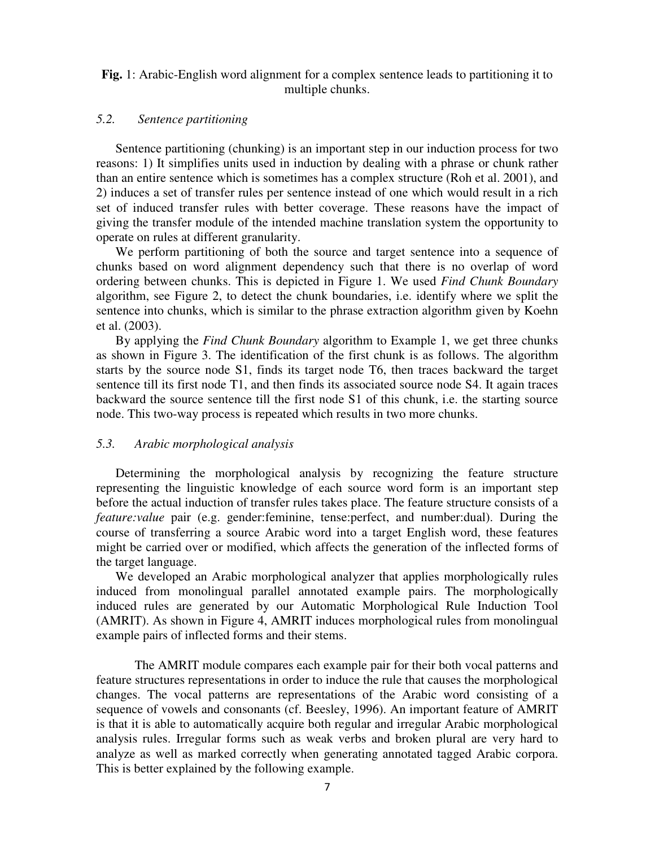**Fig.** 1: Arabic-English word alignment for a complex sentence leads to partitioning it to multiple chunks.

### *5.2. Sentence partitioning*

Sentence partitioning (chunking) is an important step in our induction process for two reasons: 1) It simplifies units used in induction by dealing with a phrase or chunk rather than an entire sentence which is sometimes has a complex structure (Roh et al. 2001), and 2) induces a set of transfer rules per sentence instead of one which would result in a rich set of induced transfer rules with better coverage. These reasons have the impact of giving the transfer module of the intended machine translation system the opportunity to operate on rules at different granularity.

We perform partitioning of both the source and target sentence into a sequence of chunks based on word alignment dependency such that there is no overlap of word ordering between chunks. This is depicted in Figure 1. We used *Find Chunk Boundary* algorithm, see Figure 2, to detect the chunk boundaries, i.e. identify where we split the sentence into chunks, which is similar to the phrase extraction algorithm given by Koehn et al. (2003).

By applying the *Find Chunk Boundary* algorithm to Example 1, we get three chunks as shown in Figure 3. The identification of the first chunk is as follows. The algorithm starts by the source node S1, finds its target node T6, then traces backward the target sentence till its first node T1, and then finds its associated source node S4. It again traces backward the source sentence till the first node S1 of this chunk, i.e. the starting source node. This two-way process is repeated which results in two more chunks.

### *5.3. Arabic morphological analysis*

Determining the morphological analysis by recognizing the feature structure representing the linguistic knowledge of each source word form is an important step before the actual induction of transfer rules takes place. The feature structure consists of a *feature:value* pair (e.g. gender:feminine, tense:perfect, and number:dual). During the course of transferring a source Arabic word into a target English word, these features might be carried over or modified, which affects the generation of the inflected forms of the target language.

We developed an Arabic morphological analyzer that applies morphologically rules induced from monolingual parallel annotated example pairs. The morphologically induced rules are generated by our Automatic Morphological Rule Induction Tool (AMRIT). As shown in Figure 4, AMRIT induces morphological rules from monolingual example pairs of inflected forms and their stems.

The AMRIT module compares each example pair for their both vocal patterns and feature structures representations in order to induce the rule that causes the morphological changes. The vocal patterns are representations of the Arabic word consisting of a sequence of vowels and consonants (cf. Beesley, 1996). An important feature of AMRIT is that it is able to automatically acquire both regular and irregular Arabic morphological analysis rules. Irregular forms such as weak verbs and broken plural are very hard to analyze as well as marked correctly when generating annotated tagged Arabic corpora. This is better explained by the following example.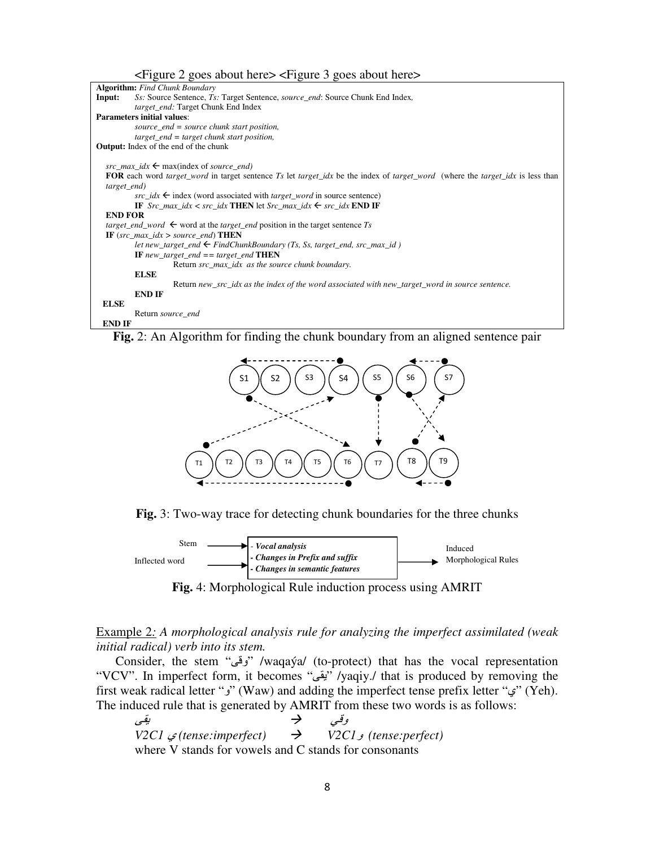<Figure 2 goes about here> <Figure 3 goes about here>

|                                   | <b>Algorithm:</b> Find Chunk Boundary                                                                                                                            |  |  |  |  |  |  |  |
|-----------------------------------|------------------------------------------------------------------------------------------------------------------------------------------------------------------|--|--|--|--|--|--|--|
| Input:                            | <i>Ss:</i> Source Sentence, <i>Ts:</i> Target Sentence, <i>source_end:</i> Source Chunk End Index,                                                               |  |  |  |  |  |  |  |
|                                   | target_end: Target Chunk End Index                                                                                                                               |  |  |  |  |  |  |  |
| <b>Parameters initial values:</b> |                                                                                                                                                                  |  |  |  |  |  |  |  |
|                                   | $source\_end = source chunk start position,$                                                                                                                     |  |  |  |  |  |  |  |
|                                   | $target\_end = target chunk start position,$                                                                                                                     |  |  |  |  |  |  |  |
|                                   | <b>Output:</b> Index of the end of the chunk                                                                                                                     |  |  |  |  |  |  |  |
|                                   |                                                                                                                                                                  |  |  |  |  |  |  |  |
|                                   | $src\_max\_idx \leftarrow max(index \text{ of }source\_end)$                                                                                                     |  |  |  |  |  |  |  |
|                                   | <b>FOR</b> each word <i>target_word</i> in target sentence Ts let <i>target_idx</i> be the index of <i>target_word</i> (where the <i>target_idx</i> is less than |  |  |  |  |  |  |  |
| $target\_end$ )                   |                                                                                                                                                                  |  |  |  |  |  |  |  |
|                                   | $src\_idx \leftarrow$ index (word associated with <i>target_word</i> in source sentence)                                                                         |  |  |  |  |  |  |  |
|                                   | IF $Src\_max\_idx < src\_idx$ THEN let $Src\_max\_idx \leftarrow src\_idx$ END IF                                                                                |  |  |  |  |  |  |  |
| <b>END FOR</b>                    |                                                                                                                                                                  |  |  |  |  |  |  |  |
|                                   | target_end_word $\epsilon$ word at the target_end position in the target sentence Ts                                                                             |  |  |  |  |  |  |  |
|                                   | IF $src\_max\_idx > source\_end$ THEN                                                                                                                            |  |  |  |  |  |  |  |
|                                   | let new_target_end $\leftarrow$ FindChunkBoundary (Ts, Ss, target_end, src_max_id)                                                                               |  |  |  |  |  |  |  |
|                                   | IF new_target_end == target_end THEN                                                                                                                             |  |  |  |  |  |  |  |
|                                   | Return src_max_idx as the source chunk boundary.                                                                                                                 |  |  |  |  |  |  |  |
|                                   | <b>ELSE</b>                                                                                                                                                      |  |  |  |  |  |  |  |
|                                   | Return new_src_idx as the index of the word associated with new_target_word in source sentence.                                                                  |  |  |  |  |  |  |  |
|                                   | <b>END IF</b>                                                                                                                                                    |  |  |  |  |  |  |  |
| <b>ELSE</b>                       |                                                                                                                                                                  |  |  |  |  |  |  |  |
|                                   | Return source end                                                                                                                                                |  |  |  |  |  |  |  |
| END IF                            |                                                                                                                                                                  |  |  |  |  |  |  |  |

**Fig.** 2: An Algorithm for finding the chunk boundary from an aligned sentence pair



**Fig.** 3: Two-way trace for detecting chunk boundaries for the three chunks



**Fig.** 4: Morphological Rule induction process using AMRIT

### Example 2*: A morphological analysis rule for analyzing the imperfect assimilated (weak initial radical) verb into its stem.*

Consider, the stem "وقى "/waqaýa/ (to-protect) that has the vocal representation "YCV". In imperfect form, it becomes "يقى" /yaqiy./ that is produced by removing the first weak radical letter " $y$ " (Waw) and adding the imperfect tense prefix letter " $\ddot{y}$ " (Yeh). The induced rule that is generated by AMRIT from these two words is as follows:

وقي  
\n*V2Cl* ∉ (tense:imperfect) 
$$
\rightarrow
$$
 *V2Cl* ∘ (tense:perfect)  
\nwhere V stands for vowels and C stands for consonants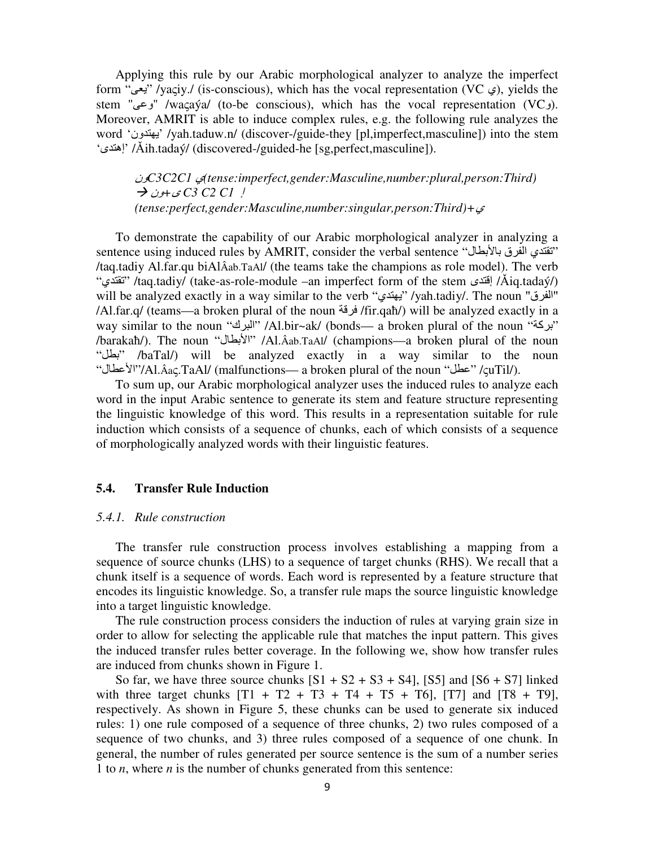Applying this rule by our Arabic morphological analyzer to analyze the imperfect form "يعى" /vaciv./ (is-conscious), which has the vocal representation (VC  $\epsilon$ ), vields the stem "وعى" /waçaýa/ (to-be conscious), which has the vocal representation (VC<sub>g</sub>). Moreover, AMRIT is able to induce complex rules, e.g. the following rule analyzes the word 'يھتدون '/yah.taduw.n/ (discover-/guide-they [pl,imperfect,masculine]) into the stem 'إھتدى '/Ǎih.tadaý/ (discovered-/guided-he [sg,perfect,masculine]).

ون*C3C2C1* ي*)tense:imperfect,gender:Masculine,number:plural,person:Third)*  إ *1C 2C 3C* ى*+*ون - *(tense:perfect,gender:Masculine,number:singular,person:Third)+*<sup>ي</sup>

To demonstrate the capability of our Arabic morphological analyzer in analyzing a sentence using induced rules by AMRIT, consider the verbal sentence "بتقتدي الفرق بالأبطال /taq.tadiy Al.far.qu biAlÂab.TaAl/ (the teams take the champions as role model). The verb "تقتدي "/taq.tadiy/ (take-as-role-module –an imperfect form of the stem إقتدى /Ǎiq.tadaý/) will be analyzed exactly in a way similar to the verb "يھتدي "/yah.tadiy/. The noun "الفرق" /Al.far.q/ (teams—a broken plural of the noun فرقة /fir.qaħ/) will be analyzed exactly in a way similar to the noun "البرك "/Al.bir~ak/ (bonds— a broken plural of the noun "بركة " /barakaħ/). The noun "بطالا "/Al.Âab.TaAl/ (champions—a broken plural of the noun "بطل "/baTal/) will be analyzed exactly in a way similar to the noun "عطالا"/Al.Âaς.TaAl/ (malfunctions— a broken plural of the noun "عطل "/ςuTil/).

To sum up, our Arabic morphological analyzer uses the induced rules to analyze each word in the input Arabic sentence to generate its stem and feature structure representing the linguistic knowledge of this word. This results in a representation suitable for rule induction which consists of a sequence of chunks, each of which consists of a sequence of morphologically analyzed words with their linguistic features.

### **5.4. Transfer Rule Induction**

### *5.4.1. Rule construction*

The transfer rule construction process involves establishing a mapping from a sequence of source chunks (LHS) to a sequence of target chunks (RHS). We recall that a chunk itself is a sequence of words. Each word is represented by a feature structure that encodes its linguistic knowledge. So, a transfer rule maps the source linguistic knowledge into a target linguistic knowledge.

The rule construction process considers the induction of rules at varying grain size in order to allow for selecting the applicable rule that matches the input pattern. This gives the induced transfer rules better coverage. In the following we, show how transfer rules are induced from chunks shown in Figure 1.

So far, we have three source chunks  $[S1 + S2 + S3 + S4]$ ,  $[S5]$  and  $[S6 + S7]$  linked with three target chunks  $[T1 + T2 + T3 + T4 + T5 + T6]$ ,  $[T7]$  and  $[T8 + T9]$ , respectively. As shown in Figure 5, these chunks can be used to generate six induced rules: 1) one rule composed of a sequence of three chunks, 2) two rules composed of a sequence of two chunks, and 3) three rules composed of a sequence of one chunk. In general, the number of rules generated per source sentence is the sum of a number series 1 to *n*, where *n* is the number of chunks generated from this sentence: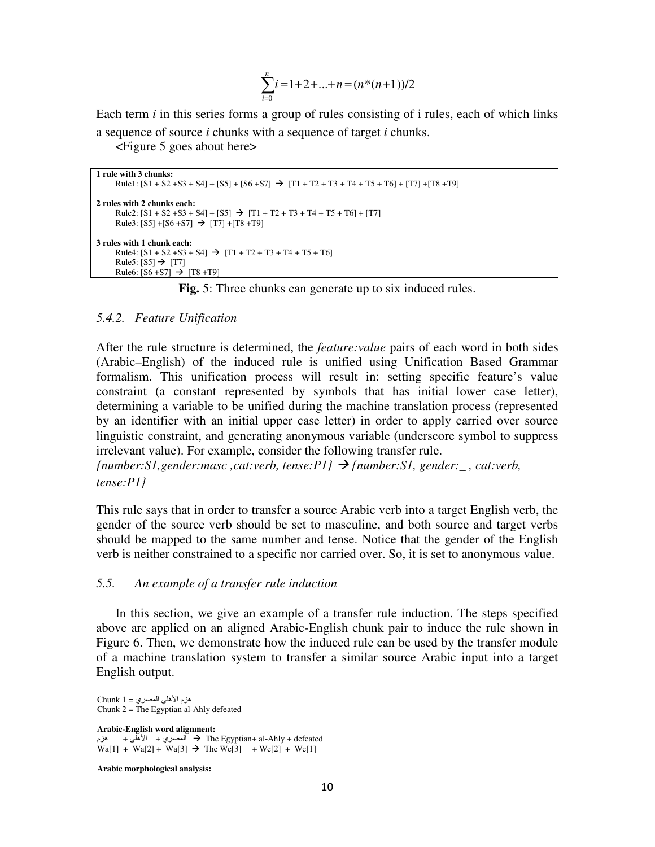$$
\sum_{i=0}^{n} i = 1 + 2 + \dots + n = (n*(n+1))/2
$$

Each term  $i$  in this series forms a group of rules consisting of  $i$  rules, each of which links a sequence of source *i* chunks with a sequence of target *i* chunks.

<Figure 5 goes about here>

```
1 rule with 3 chunks: 
      Rule1: [S1 + S2 + S3 + S4] + [S5] + [S6 + S7] \rightarrow [T1 + T2 + T3 + T4 + T5 + T6] + [T7] + [T8 + T9]2 rules with 2 chunks each: 
      Rule2: [S1 + S2 + S3 + S4] + [S5] \rightarrow [T1 + T2 + T3 + T4 + T5 + T6] + [T7]Rule3: [S5] + [S6 + S7] \rightarrow [T7] + [T8 + T9]3 rules with 1 chunk each: 
      Rule4: [S1 + S2 + S3 + S4] \rightarrow [T1 + T2 + T3 + T4 + T5 + T6]Rule5: [S5] \rightarrow [T7]
      Rule6: [86 + S7] \rightarrow [T8 + T9]
```
**Fig.** 5: Three chunks can generate up to six induced rules.

### *5.4.2. Feature Unification*

After the rule structure is determined, the *feature:value* pairs of each word in both sides (Arabic–English) of the induced rule is unified using Unification Based Grammar formalism. This unification process will result in: setting specific feature's value constraint (a constant represented by symbols that has initial lower case letter), determining a variable to be unified during the machine translation process (represented by an identifier with an initial upper case letter) in order to apply carried over source linguistic constraint, and generating anonymous variable (underscore symbol to suppress irrelevant value). For example, consider the following transfer rule.

*{number:S1,gender:masc ,cat:verb, tense:P1}* - *{number:S1, gender:\_ , cat:verb, tense:P1}* 

This rule says that in order to transfer a source Arabic verb into a target English verb, the gender of the source verb should be set to masculine, and both source and target verbs should be mapped to the same number and tense. Notice that the gender of the English verb is neither constrained to a specific nor carried over. So, it is set to anonymous value.

## *5.5. An example of a transfer rule induction*

In this section, we give an example of a transfer rule induction. The steps specified above are applied on an aligned Arabic-English chunk pair to induce the rule shown in Figure 6. Then, we demonstrate how the induced rule can be used by the transfer module of a machine translation system to transfer a similar source Arabic input into a target English output.

```
Chunk 1 = Qهزم الأهلي المصري
Chunk 2 = The Egyptian al-Ahly defeated
Arabic-English word alignment: 
ھزم + ھليا + المصري -
 The Egyptian+ al-Ahly + defeated 
Wa[1] + Wa[2] + Wa[3] \rightarrow The We[3] + We[2] + We[1]Arabic morphological analysis:
```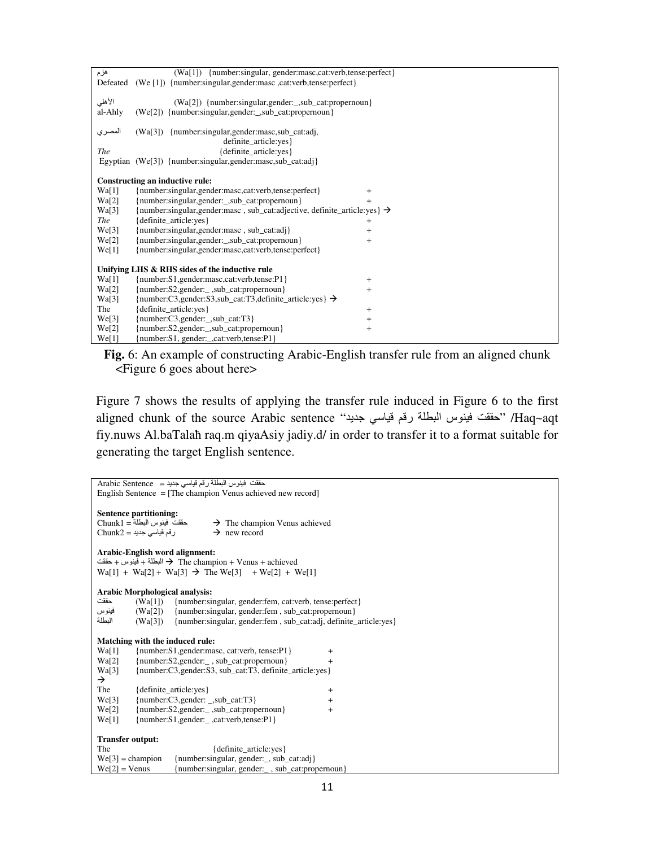| هزم                                            | (Wa[1]) {number:singular, gender:masc,cat:verb,tense:perfect}                        |                |  |  |  |  |
|------------------------------------------------|--------------------------------------------------------------------------------------|----------------|--|--|--|--|
| Defeated                                       | (We [1]) {number:singular,gender:masc ,cat:verb,tense:perfect}                       |                |  |  |  |  |
|                                                |                                                                                      |                |  |  |  |  |
| الأهلى                                         | (Wa[2]) {number:singular,gender:_,sub_cat:propernoun}                                |                |  |  |  |  |
| al-Ahly                                        | (We[2]) {number:singular,gender:_,sub_cat:propernoun}                                |                |  |  |  |  |
|                                                |                                                                                      |                |  |  |  |  |
| المصري                                         | (Wa[3]) {number:singular,gender:masc,sub_cat:adj,                                    |                |  |  |  |  |
|                                                | definite_article:yes}                                                                |                |  |  |  |  |
| <b>The</b>                                     | {definite article:yes}                                                               |                |  |  |  |  |
|                                                | Egyptian (We[3]) {number:singular,gender:masc,sub_cat:adj}                           |                |  |  |  |  |
|                                                |                                                                                      |                |  |  |  |  |
|                                                | Constructing an inductive rule:                                                      |                |  |  |  |  |
| Wa[1]                                          | {number:singular,gender:masc,cat:verb,tense:perfect}                                 | $^{+}$         |  |  |  |  |
| Wa[2]                                          | {number:singular,gender:_,sub_cat:propernoun}                                        | $+$            |  |  |  |  |
| Wa[3]                                          | {number:singular,gender:masc, sub_cat:adjective, definite_article:yes} $\rightarrow$ |                |  |  |  |  |
| <b>The</b>                                     | {definite_article:yes}<br>$\pm$                                                      |                |  |  |  |  |
| We[3]                                          | {number:singular,gender:masc,sub_cat:adj}                                            | $+$            |  |  |  |  |
| We[2]                                          | {number:singular,gender:_,sub_cat:propernoun}                                        | $\overline{+}$ |  |  |  |  |
| We[1]                                          | {number:singular,gender:masc,cat:verb,tense:perfect}                                 |                |  |  |  |  |
|                                                |                                                                                      |                |  |  |  |  |
| Unifying LHS & RHS sides of the inductive rule |                                                                                      |                |  |  |  |  |
| Wa[1]                                          | {number:S1,gender:masc,cat:verb,tense:P1}                                            | $+$            |  |  |  |  |
| Wa[2]                                          | {number:S2,gender:_,sub_cat:propernoun}                                              | $+$            |  |  |  |  |
| Wa[3]                                          | { $number: C3, gender: S3, sub_cat: T3, definite_article: yes$ } $\rightarrow$       |                |  |  |  |  |
| The                                            | {definite_article:yes}                                                               | $+$            |  |  |  |  |
| We[3]                                          | {number:C3,gender:_,sub_cat:T3}                                                      | $+$            |  |  |  |  |
| We[2]                                          | {number:S2,gender:_,sub_cat:propernoun}<br>$+$                                       |                |  |  |  |  |
| We[1]                                          | {number:S1, gender:_,cat:verb,tense:P1}                                              |                |  |  |  |  |



Figure 7 shows the results of applying the transfer rule induced in Figure 6 to the first aligned chunk of the source Arabic sentence "حققت فينوس البطلة رقم قياسي جديد "Jaq~aqt fiy.nuws Al.baTalaħ raq.m qiyaAsiy jadiy.d/ in order to transfer it to a format suitable for generating the target English sentence.

```
حققت فينوس البطلة رقم قياسي جديد = Sentence Arabic
English Sentence = [The champion Venus achieved new record] 
Sentence partitioning: 
Chunk1 = البطلة فينوس حققت -
                                \rightarrow The champion Venus achieved
                                \rightarrow new record
 رقم قياسي جديد = 2Chunk
Arabic-English word alignment: 
حققت + فينوس + البطلة -
 The champion + Venus + achieved 
\text{Wa}[1] + \text{Wa}[2] + \text{Wa}[3] \rightarrow \text{The We}[3] + \text{We}[2] + \text{We}[1]Arabic Morphological analysis: 
           (Wa[1]) {number:singular, gender:fem, cat:verb, tense:perfect}
فينوس) Wa[2]) {number:singular, gender:fem , sub_cat:propernoun} 
           (Wa[3]) {number:singular, gender:fem, sub_cat:adj, definite_article:yes}
Matching with the induced rule: 
Wa[1] {number:S1,gender:masc, cat:verb, tense:P1} +<br>Wa[2] {number:S2,gender: , sub cat:propernoun} +
           {\{number: S2, gender: , subcat:propernoun\}}Wa[3] {number:C3,gender:S3, sub_cat:T3, definite_article:yes} 
\rightarrowThe {definite_article:yes}
We[3] {number:C3,gender: _,sub_cat:T3} + 
We[2] {number:S2,gender:_ ,sub_cat:propernoun} + 
We[1] {number:S1,gender:_ ,cat:verb,tense:P1} 
Transfer output: 
The {definite article:yes}
We[3] = champion {number:singular, gender:_, sub_cat:adj} 
We[2] = Venus {number:singular, gender:_, sub_cat:propernoun}
```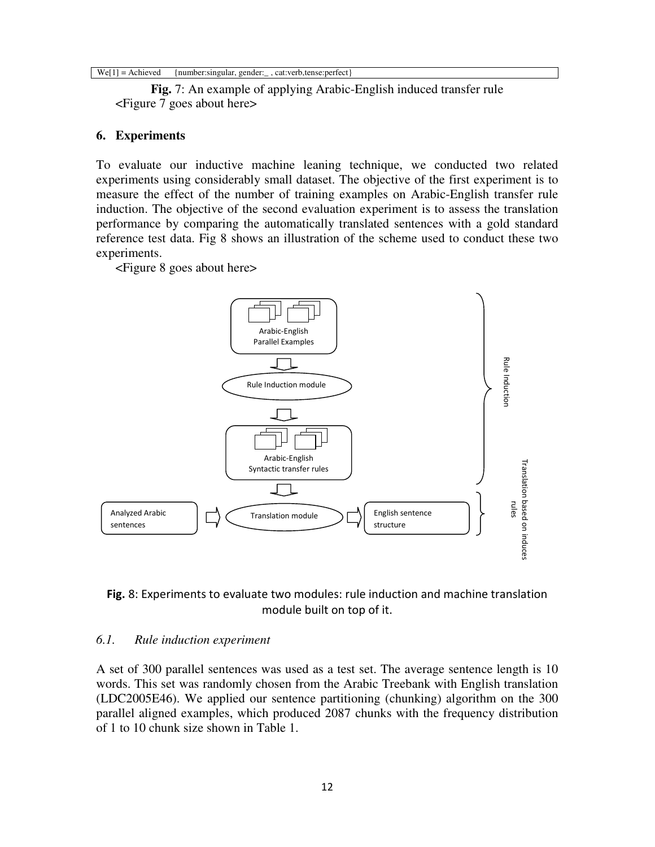#### $We[1] =$  Achieved {number:singular, gender: \_, cat:verb,tense:perfect}

**Fig.** 7: An example of applying Arabic-English induced transfer rule <Figure 7 goes about here>

### **6. Experiments**

To evaluate our inductive machine leaning technique, we conducted two related experiments using considerably small dataset. The objective of the first experiment is to measure the effect of the number of training examples on Arabic-English transfer rule induction. The objective of the second evaluation experiment is to assess the translation performance by comparing the automatically translated sentences with a gold standard reference test data. Fig 8 shows an illustration of the scheme used to conduct these two experiments.

<Figure 8 goes about here>





### *6.1. Rule induction experiment*

A set of 300 parallel sentences was used as a test set. The average sentence length is 10 words. This set was randomly chosen from the Arabic Treebank with English translation (LDC2005E46). We applied our sentence partitioning (chunking) algorithm on the 300 parallel aligned examples, which produced 2087 chunks with the frequency distribution of 1 to 10 chunk size shown in Table 1.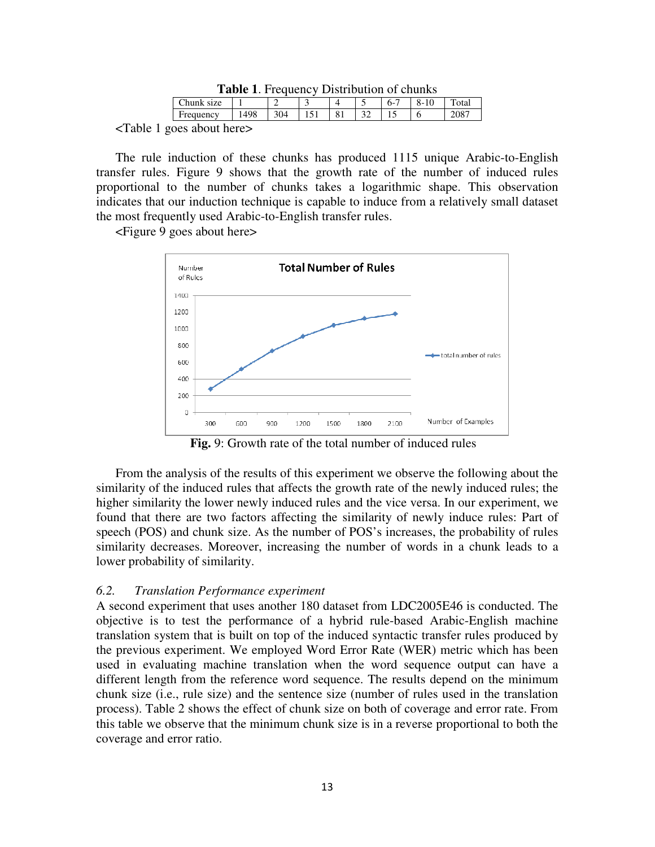| -------             |     |           |        |    |                          |                           |          |                      |
|---------------------|-----|-----------|--------|----|--------------------------|---------------------------|----------|----------------------|
| 'hunk sıze          |     | <b>__</b> | ⌒<br>◡ |    | $\overline{\phantom{0}}$ | $\overline{ }$<br>$h_{-}$ | ~-<br>10 | $\tau_{\text{otal}}$ |
| -                   | 10Q | 304       |        | ОI | $\sim$<br>◡              |                           |          | $208^{-}$            |
| saas aleesst leewer |     |           |        |    |                          |                           |          |                      |

**Table 1.** Frequency Distribution of chunks

<Table 1 goes about here>

The rule induction of these chunks has produced 1115 unique Arabic-to-English transfer rules. Figure 9 shows that the growth rate of the number of induced rules proportional to the number of chunks takes a logarithmic shape. This observation indicates that our induction technique is capable to induce from a relatively small dataset the most frequently used Arabic-to-English transfer rules.

<Figure 9 goes about here>



**Fig.** 9: Growth rate of the total number of induced rules

From the analysis of the results of this experiment we observe the following about the similarity of the induced rules that affects the growth rate of the newly induced rules; the higher similarity the lower newly induced rules and the vice versa. In our experiment, we found that there are two factors affecting the similarity of newly induce rules: Part of speech (POS) and chunk size. As the number of POS's increases, the probability of rules similarity decreases. Moreover, increasing the number of words in a chunk leads to a lower probability of similarity.

### *6.2. Translation Performance experiment*

A second experiment that uses another 180 dataset from LDC2005E46 is conducted. The objective is to test the performance of a hybrid rule-based Arabic-English machine translation system that is built on top of the induced syntactic transfer rules produced by the previous experiment. We employed Word Error Rate (WER) metric which has been used in evaluating machine translation when the word sequence output can have a different length from the reference word sequence. The results depend on the minimum chunk size (i.e., rule size) and the sentence size (number of rules used in the translation process). Table 2 shows the effect of chunk size on both of coverage and error rate. From this table we observe that the minimum chunk size is in a reverse proportional to both the coverage and error ratio.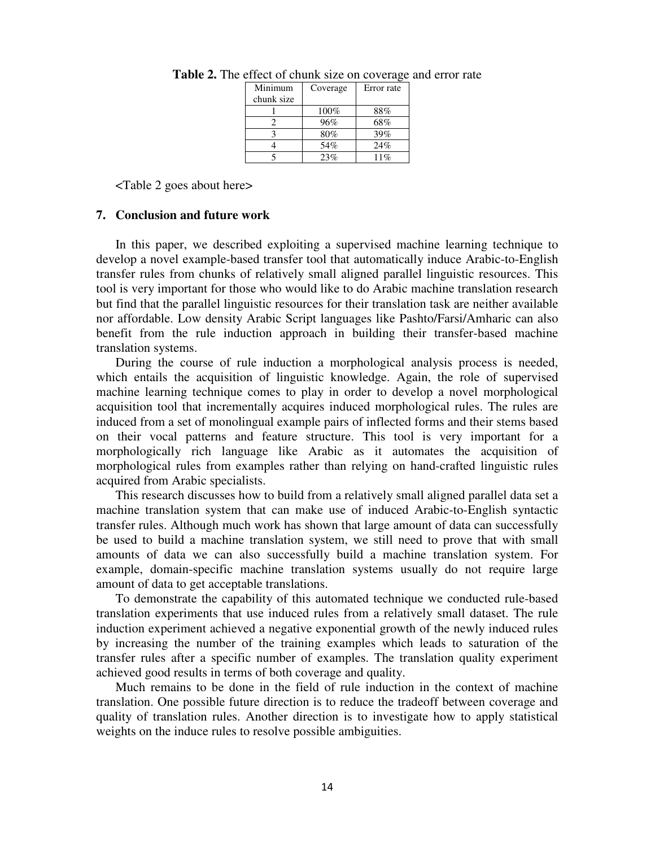| Minimum<br>chunk size | Coverage | Error rate |
|-----------------------|----------|------------|
|                       |          |            |
|                       | 100%     | 88%        |
|                       | 96%      | 68%        |
|                       | 80%      | 39%        |
|                       | 54%      | 24%        |
|                       | 23%      | 11%        |

**Table 2.** The effect of chunk size on coverage and error rate

<Table 2 goes about here>

#### **7. Conclusion and future work**

In this paper, we described exploiting a supervised machine learning technique to develop a novel example-based transfer tool that automatically induce Arabic-to-English transfer rules from chunks of relatively small aligned parallel linguistic resources. This tool is very important for those who would like to do Arabic machine translation research but find that the parallel linguistic resources for their translation task are neither available nor affordable. Low density Arabic Script languages like Pashto/Farsi/Amharic can also benefit from the rule induction approach in building their transfer-based machine translation systems.

During the course of rule induction a morphological analysis process is needed, which entails the acquisition of linguistic knowledge. Again, the role of supervised machine learning technique comes to play in order to develop a novel morphological acquisition tool that incrementally acquires induced morphological rules. The rules are induced from a set of monolingual example pairs of inflected forms and their stems based on their vocal patterns and feature structure. This tool is very important for a morphologically rich language like Arabic as it automates the acquisition of morphological rules from examples rather than relying on hand-crafted linguistic rules acquired from Arabic specialists.

This research discusses how to build from a relatively small aligned parallel data set a machine translation system that can make use of induced Arabic-to-English syntactic transfer rules. Although much work has shown that large amount of data can successfully be used to build a machine translation system, we still need to prove that with small amounts of data we can also successfully build a machine translation system. For example, domain-specific machine translation systems usually do not require large amount of data to get acceptable translations.

To demonstrate the capability of this automated technique we conducted rule-based translation experiments that use induced rules from a relatively small dataset. The rule induction experiment achieved a negative exponential growth of the newly induced rules by increasing the number of the training examples which leads to saturation of the transfer rules after a specific number of examples. The translation quality experiment achieved good results in terms of both coverage and quality.

Much remains to be done in the field of rule induction in the context of machine translation. One possible future direction is to reduce the tradeoff between coverage and quality of translation rules. Another direction is to investigate how to apply statistical weights on the induce rules to resolve possible ambiguities.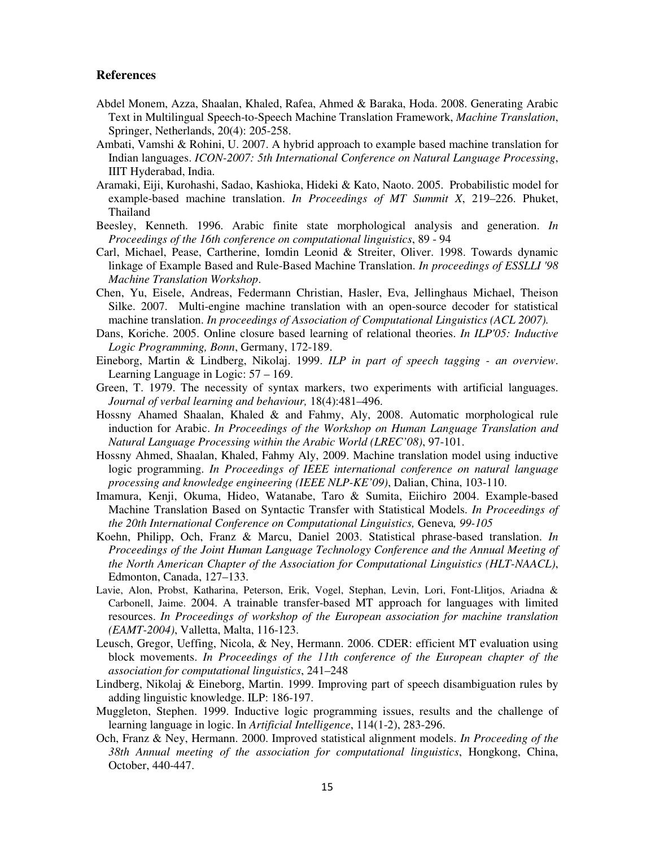#### **References**

- Abdel Monem, Azza, Shaalan, Khaled, Rafea, Ahmed & Baraka, Hoda. 2008. Generating Arabic Text in Multilingual Speech-to-Speech Machine Translation Framework, *Machine Translation*, Springer, Netherlands, 20(4): 205-258.
- Ambati, Vamshi & Rohini, U. 2007. A hybrid approach to example based machine translation for Indian languages. *ICON-2007: 5th International Conference on Natural Language Processing*, IIIT Hyderabad, India.
- Aramaki, Eiji, Kurohashi, Sadao, Kashioka, Hideki & Kato, Naoto. 2005. Probabilistic model for example-based machine translation. *In Proceedings of MT Summit X*, 219–226. Phuket, Thailand
- Beesley, Kenneth. 1996. Arabic finite state morphological analysis and generation. *In Proceedings of the 16th conference on computational linguistics*, 89 - 94
- Carl, Michael, Pease, Cartherine, Iomdin Leonid & Streiter, Oliver. 1998. Towards dynamic linkage of Example Based and Rule-Based Machine Translation. *In proceedings of ESSLLI '98 Machine Translation Workshop*.
- Chen, Yu, Eisele, Andreas, Federmann Christian, Hasler, Eva, Jellinghaus Michael, Theison Silke. 2007. Multi-engine machine translation with an open-source decoder for statistical machine translation. *In proceedings of Association of Computational Linguistics (ACL 2007).*
- Dans, Koriche. 2005. Online closure based learning of relational theories. *In ILP'05: Inductive Logic Programming, Bonn*, Germany, 172-189.
- Eineborg, Martin & Lindberg, Nikolaj. 1999. *ILP in part of speech tagging an overview*. Learning Language in Logic: 57 – 169.
- Green, T. 1979. The necessity of syntax markers, two experiments with artificial languages. *Journal of verbal learning and behaviour,* 18(4):481–496.
- Hossny Ahamed Shaalan, Khaled & and Fahmy, Aly, 2008. Automatic morphological rule induction for Arabic. *In Proceedings of the Workshop on Human Language Translation and Natural Language Processing within the Arabic World (LREC'08)*, 97-101.
- Hossny Ahmed, Shaalan, Khaled, Fahmy Aly, 2009. Machine translation model using inductive logic programming. *In Proceedings of IEEE international conference on natural language processing and knowledge engineering (IEEE NLP-KE'09)*, Dalian, China, 103-110.
- Imamura, Kenji, Okuma, Hideo, Watanabe, Taro & Sumita, Eiichiro 2004. Example-based Machine Translation Based on Syntactic Transfer with Statistical Models. *In Proceedings of the 20th International Conference on Computational Linguistics,* Geneva*, 99-105*
- Koehn, Philipp, Och, Franz & Marcu, Daniel 2003. Statistical phrase-based translation. *In Proceedings of the Joint Human Language Technology Conference and the Annual Meeting of the North American Chapter of the Association for Computational Linguistics (HLT-NAACL)*, Edmonton, Canada, 127–133.
- Lavie, Alon, Probst, Katharina, Peterson, Erik, Vogel, Stephan, Levin, Lori, Font-Llitjos, Ariadna & Carbonell, Jaime. 2004. A trainable transfer-based MT approach for languages with limited resources. *In Proceedings of workshop of the European association for machine translation (EAMT-2004)*, Valletta, Malta, 116-123.
- Leusch, Gregor, Ueffing, Nicola, & Ney, Hermann. 2006. CDER: efficient MT evaluation using block movements. *In Proceedings of the 11th conference of the European chapter of the association for computational linguistics*, 241–248
- Lindberg, Nikolaj & Eineborg, Martin. 1999. Improving part of speech disambiguation rules by adding linguistic knowledge. ILP: 186-197.
- Muggleton, Stephen. 1999. Inductive logic programming issues, results and the challenge of learning language in logic. In *Artificial Intelligence*, 114(1-2), 283-296.
- Och, Franz & Ney, Hermann. 2000. Improved statistical alignment models. *In Proceeding of the 38th Annual meeting of the association for computational linguistics*, Hongkong, China, October, 440-447.